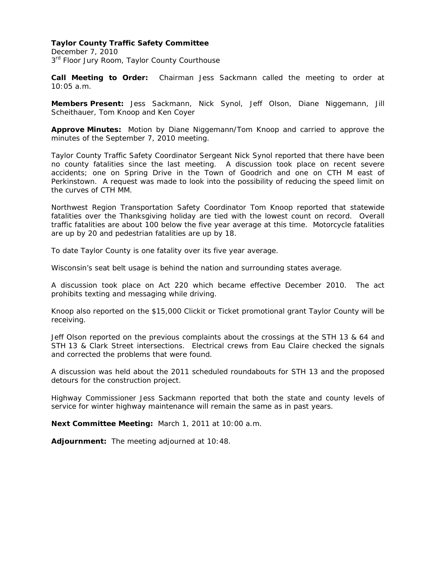#### **Taylor County Traffic Safety Committee**

December 7, 2010  $3<sup>rd</sup>$  Floor Jury Room, Taylor County Courthouse

**Call Meeting to Order:** Chairman Jess Sackmann called the meeting to order at 10:05 a.m.

**Members Present:** Jess Sackmann, Nick Synol, Jeff Olson, Diane Niggemann, Jill Scheithauer, Tom Knoop and Ken Coyer

**Approve Minutes:** Motion by Diane Niggemann/Tom Knoop and carried to approve the minutes of the September 7, 2010 meeting.

Taylor County Traffic Safety Coordinator Sergeant Nick Synol reported that there have been no county fatalities since the last meeting. A discussion took place on recent severe accidents; one on Spring Drive in the Town of Goodrich and one on CTH M east of Perkinstown. A request was made to look into the possibility of reducing the speed limit on the curves of CTH MM.

Northwest Region Transportation Safety Coordinator Tom Knoop reported that statewide fatalities over the Thanksgiving holiday are tied with the lowest count on record. Overall traffic fatalities are about 100 below the five year average at this time. Motorcycle fatalities are up by 20 and pedestrian fatalities are up by 18.

To date Taylor County is one fatality over its five year average.

Wisconsin's seat belt usage is behind the nation and surrounding states average.

A discussion took place on Act 220 which became effective December 2010. The act prohibits texting and messaging while driving.

Knoop also reported on the \$15,000 Clickit or Ticket promotional grant Taylor County will be receiving.

Jeff Olson reported on the previous complaints about the crossings at the STH 13 & 64 and STH 13 & Clark Street intersections. Electrical crews from Eau Claire checked the signals and corrected the problems that were found.

A discussion was held about the 2011 scheduled roundabouts for STH 13 and the proposed detours for the construction project.

Highway Commissioner Jess Sackmann reported that both the state and county levels of service for winter highway maintenance will remain the same as in past years.

**Next Committee Meeting:** March 1, 2011 at 10:00 a.m.

**Adjournment:** The meeting adjourned at 10:48.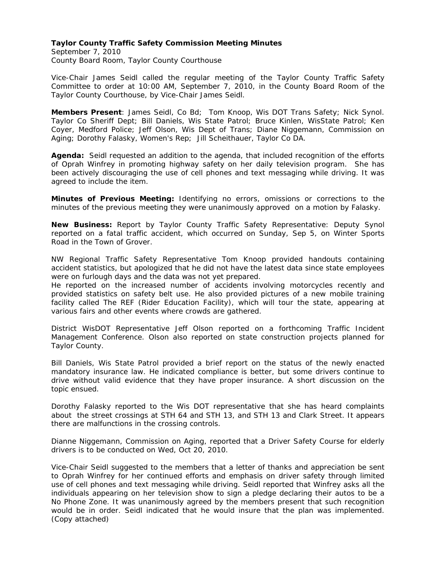#### **Taylor County Traffic Safety Commission Meeting Minutes**

September 7, 2010 County Board Room, Taylor County Courthouse

Vice-Chair James Seidl called the regular meeting of the Taylor County Traffic Safety Committee to order at 10:00 AM, September 7, 2010, in the County Board Room of the Taylor County Courthouse, by Vice-Chair James Seidl.

**Members Present**: James Seidl, Co Bd; Tom Knoop, Wis DOT Trans Safety; Nick Synol. Taylor Co Sheriff Dept; Bill Daniels, Wis State Patrol; Bruce Kinlen, WisState Patrol; Ken Coyer, Medford Police; Jeff Olson, Wis Dept of Trans; Diane Niggemann, Commission on Aging; Dorothy Falasky, Women's Rep; Jill Scheithauer, Taylor Co DA.

**Agenda:** Seidl requested an addition to the agenda, that included recognition of the efforts of Oprah Winfrey in promoting highway safety on her daily television program. She has been actively discouraging the use of cell phones and text messaging while driving. It was agreed to include the item.

**Minutes of Previous Meeting:** Identifying no errors, omissions or corrections to the minutes of the previous meeting they were unanimously approved on a motion by Falasky.

**New Business:** Report by Taylor County Traffic Safety Representative: Deputy Synol reported on a fatal traffic accident, which occurred on Sunday, Sep 5, on Winter Sports Road in the Town of Grover.

NW Regional Traffic Safety Representative Tom Knoop provided handouts containing accident statistics, but apologized that he did not have the latest data since state employees were on furlough days and the data was not yet prepared.

He reported on the increased number of accidents involving motorcycles recently and provided statistics on safety belt use. He also provided pictures of a new mobile training facility called The REF (Rider Education Facility), which will tour the state, appearing at various fairs and other events where crowds are gathered.

District WisDOT Representative Jeff Olson reported on a forthcoming Traffic Incident Management Conference. Olson also reported on state construction projects planned for Taylor County.

Bill Daniels, Wis State Patrol provided a brief report on the status of the newly enacted mandatory insurance law. He indicated compliance is better, but some drivers continue to drive without valid evidence that they have proper insurance. A short discussion on the topic ensued.

Dorothy Falasky reported to the Wis DOT representative that she has heard complaints about the street crossings at STH 64 and STH 13, and STH 13 and Clark Street. It appears there are malfunctions in the crossing controls.

Dianne Niggemann, Commission on Aging, reported that a Driver Safety Course for elderly drivers is to be conducted on Wed, Oct 20, 2010.

Vice-Chair Seidl suggested to the members that a letter of thanks and appreciation be sent to Oprah Winfrey for her continued efforts and emphasis on driver safety through limited use of cell phones and text messaging while driving. Seidl reported that Winfrey asks all the individuals appearing on her television show to sign a pledge declaring their autos to be a No Phone Zone. It was unanimously agreed by the members present that such recognition would be in order. Seidl indicated that he would insure that the plan was implemented. (Copy attached)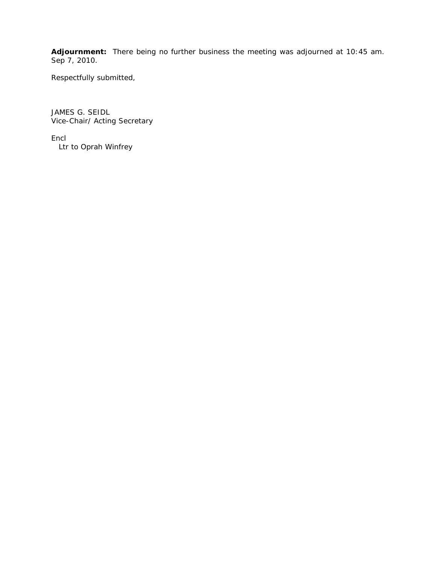**Adjournment:** There being no further business the meeting was adjourned at 10:45 am. Sep 7, 2010.

Respectfully submitted,

JAMES G. SEIDL Vice-Chair/ Acting Secretary

Encl Ltr to Oprah Winfrey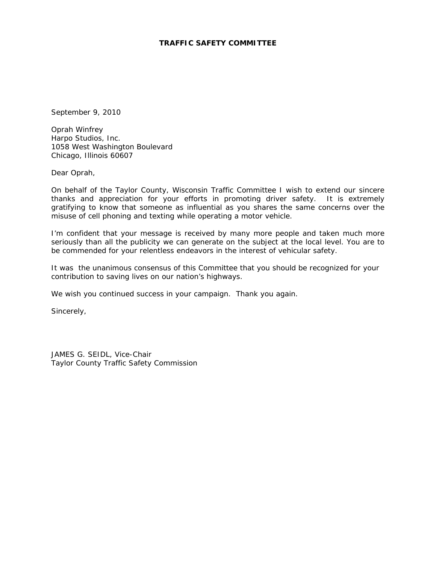# **TRAFFIC SAFETY COMMITTEE**

September 9, 2010

Oprah Winfrey Harpo Studios, Inc. 1058 West Washington Boulevard Chicago, Illinois 60607

Dear Oprah,

On behalf of the Taylor County, Wisconsin Traffic Committee I wish to extend our sincere thanks and appreciation for your efforts in promoting driver safety. It is extremely gratifying to know that someone as influential as you shares the same concerns over the misuse of cell phoning and texting while operating a motor vehicle.

I'm confident that your message is received by many more people and taken much more seriously than all the publicity we can generate on the subject at the local level. You are to be commended for your relentless endeavors in the interest of vehicular safety.

It was the unanimous consensus of this Committee that you should be recognized for your contribution to saving lives on our nation's highways.

We wish you continued success in your campaign. Thank you again.

Sincerely,

JAMES G. SEIDL, Vice-Chair Taylor County Traffic Safety Commission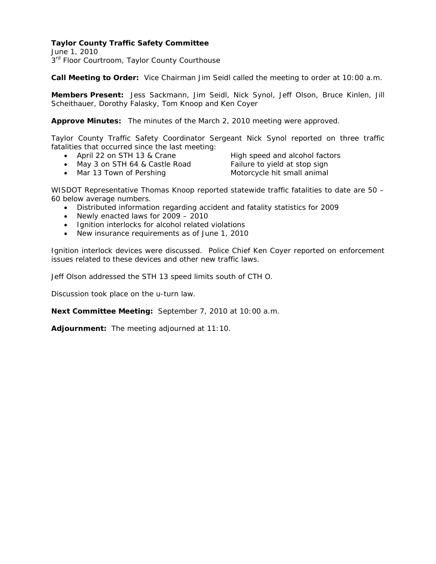# **Taylor County Traffic Safety Committee**

June 1, 2010  $3<sup>rd</sup>$  Floor Courtroom, Taylor County Courthouse

**Call Meeting to Order:** Vice Chairman Jim Seidl called the meeting to order at 10:00 a.m.

**Members Present:** Jess Sackmann, Jim Seidl, Nick Synol, Jeff Olson, Bruce Kinlen, Jill Scheithauer, Dorothy Falasky, Tom Knoop and Ken Coyer

**Approve Minutes:** The minutes of the March 2, 2010 meeting were approved.

Taylor County Traffic Safety Coordinator Sergeant Nick Synol reported on three traffic fatalities that occurred since the last meeting:

- April 22 on STH 13 & Crane High speed and alcohol factors
- May 3 on STH 64 & Castle Road Failure to yield at stop sign

• Mar 13 Town of Pershing Motorcycle hit small animal

WISDOT Representative Thomas Knoop reported statewide traffic fatalities to date are 50 – 60 below average numbers.

- Distributed information regarding accident and fatality statistics for 2009
- Newly enacted laws for 2009 2010
- Ignition interlocks for alcohol related violations
- New insurance requirements as of June 1, 2010

Ignition interlock devices were discussed. Police Chief Ken Coyer reported on enforcement issues related to these devices and other new traffic laws.

Jeff Olson addressed the STH 13 speed limits south of CTH O.

Discussion took place on the u-turn law.

**Next Committee Meeting:** September 7, 2010 at 10:00 a.m.

**Adjournment:** The meeting adjourned at 11:10.